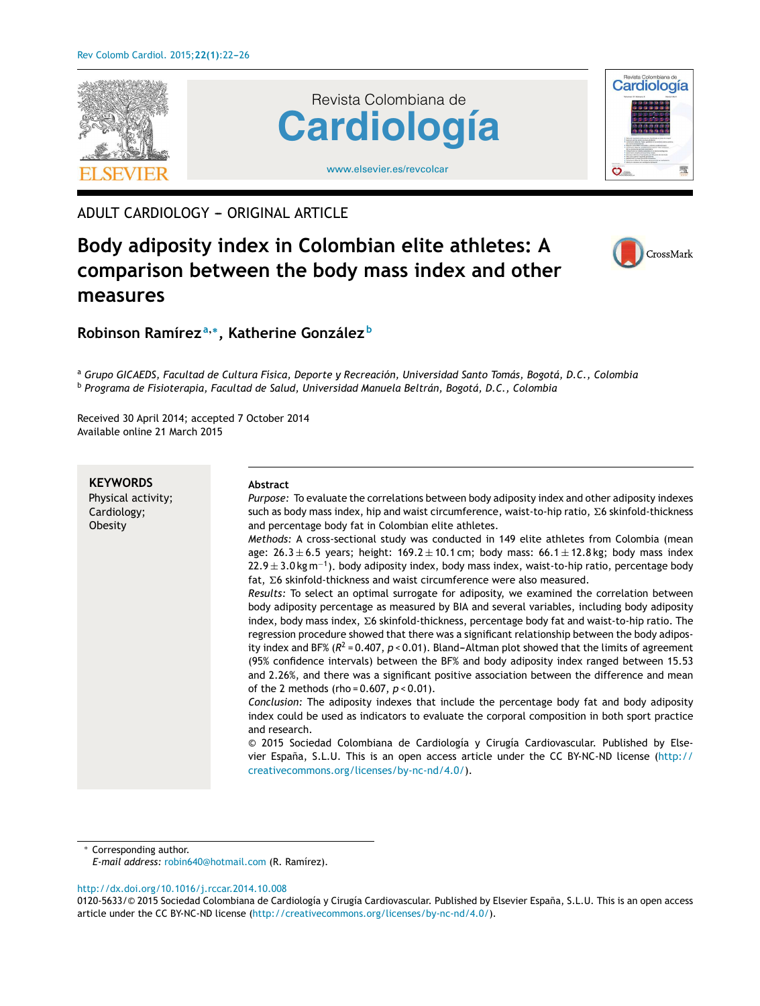

ADULT CARDIOLOGY - ORIGINAL ARTICLE

# **Body adiposity index in Colombian elite athletes: A comparison between the body mass index and other measures**



## **Robinson Ramírez <sup>a</sup>**,<sup>∗</sup> **, Katherine González <sup>b</sup>**

<sup>a</sup> *Grupo GICAEDS, Facultad de Cultura Física, Deporte y Recreación, Universidad Santo Tomás, Bogotá, D.C., Colombia* <sup>b</sup> *Programa de Fisioterapia, Facultad de Salud, Universidad Manuela Beltrán, Bogotá, D.C., Colombia*

Received 30 April 2014; accepted 7 October 2014 Available online 21 March 2015

| <b>KEYWORDS</b><br>Physical activity;<br>Cardiology;<br>Obesity | <b>Abstract</b><br>Purpose: To evaluate the correlations between body adiposity index and other adiposity indexes<br>such as body mass index, hip and waist circumference, waist-to-hip ratio, Σ6 skinfold-thickness<br>and percentage body fat in Colombian elite athletes.<br>Methods: A cross-sectional study was conducted in 149 elite athletes from Colombia (mean<br>age: 26.3 $\pm$ 6.5 years; height: 169.2 $\pm$ 10.1 cm; body mass: 66.1 $\pm$ 12.8 kg; body mass index<br>$22.9 \pm 3.0$ kg m <sup>-1</sup> ). body adiposity index, body mass index, waist-to-hip ratio, percentage body<br>fat, $\Sigma$ 6 skinfold-thickness and waist circumference were also measured.<br>Results: To select an optimal surrogate for adiposity, we examined the correlation between |
|-----------------------------------------------------------------|---------------------------------------------------------------------------------------------------------------------------------------------------------------------------------------------------------------------------------------------------------------------------------------------------------------------------------------------------------------------------------------------------------------------------------------------------------------------------------------------------------------------------------------------------------------------------------------------------------------------------------------------------------------------------------------------------------------------------------------------------------------------------------------|
|                                                                 | body adiposity percentage as measured by BIA and several variables, including body adiposity<br>index, body mass index, $\Sigma$ 6 skinfold-thickness, percentage body fat and waist-to-hip ratio. The<br>regression procedure showed that there was a significant relationship between the body adipos-<br>ity index and BF% ( $R^2$ = 0.407, p < 0.01). Bland-Altman plot showed that the limits of agreement<br>(95% confidence intervals) between the BF% and body adiposity index ranged between 15.53<br>and 2.26%, and there was a significant positive association between the difference and mean<br>of the 2 methods (rho = $0.607$ , $p < 0.01$ ).                                                                                                                         |
|                                                                 | Conclusion: The adiposity indexes that include the percentage body fat and body adiposity<br>index could be used as indicators to evaluate the corporal composition in both sport practice<br>and research.                                                                                                                                                                                                                                                                                                                                                                                                                                                                                                                                                                           |
|                                                                 | © 2015 Sociedad Colombiana de Cardiología y Cirugía Cardiovascular. Published by Else-<br>vier España, S.L.U. This is an open access article under the CC BY-NC-ND license (http://<br>creativecommons.org/licenses/by-nc-nd/4.0/).                                                                                                                                                                                                                                                                                                                                                                                                                                                                                                                                                   |

Corresponding author.

*E-mail address:* [robin640@hotmail.com](mailto:robin640@hotmail.com) (R. Ramírez).

[http://dx.doi.org/10.1016/j.rccar.2014.10.008](dx.doi.org/10.1016/j.rccar.2014.10.008)

0120-5633/© 2015 Sociedad Colombiana de Cardiología y Cirugía Cardiovascular. Published by Elsevier España, S.L.U. This is an open access article under the CC BY-NC-ND license [\(http://creativecommons.org/licenses/by-nc-nd/4.0/\)](http://creativecommons.org/licenses/by-nc-nd/4.0/).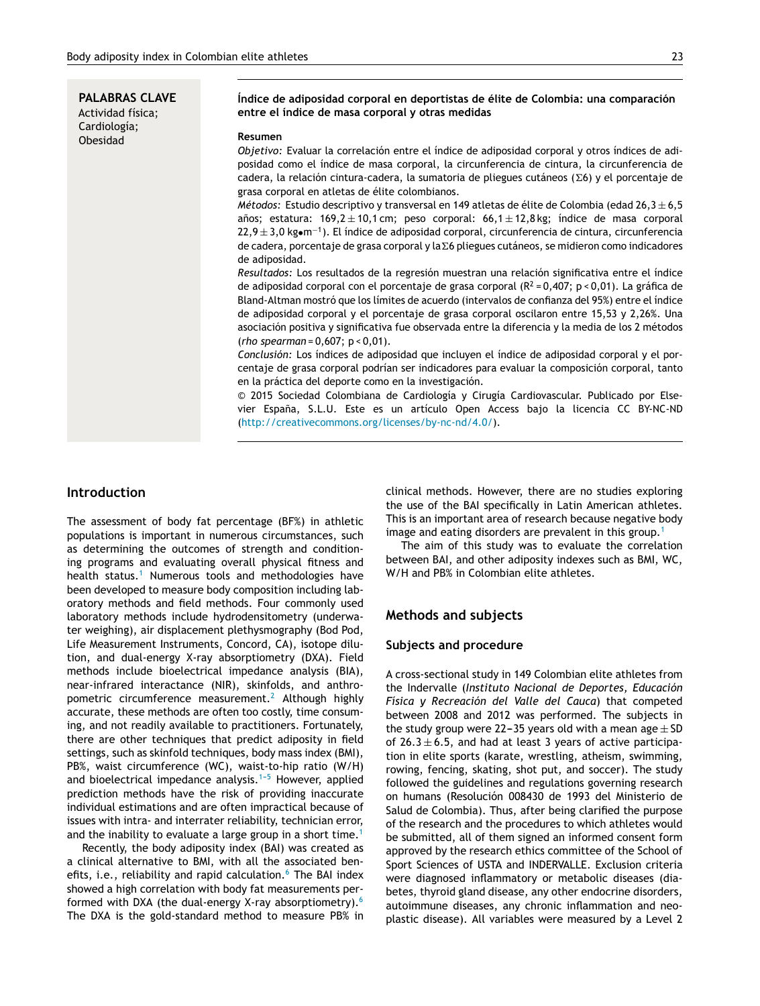**PALABRAS CLAVE** Actividad física; Cardiología; Obesidad

#### **Índice de adiposidad corporal en deportistas de élite de Colombia: una comparación entre el índice de masa corporal y otras medidas**

#### **Resumen**

*Objetivo:* Evaluar la correlación entre el índice de adiposidad corporal y otros índices de adiposidad como el índice de masa corporal, la circunferencia de cintura, la circunferencia de  $c$ adera, la relación cintura-cadera, la sumatoria de pliegues cutáneos ( $\Sigma$ 6) y el porcentaje de grasa corporal en atletas de élite colombianos.

*Métodos:* Estudio descriptivo y transversal en 149 atletas de élite de Colombia (edad 26,3 ± 6,5 años; estatura: 169,2  $\pm$  10,1 cm; peso corporal: 66,1 $\pm$  12,8 kg; índice de masa corporal 22,9 ± 3,0 kg•m<sup>−1</sup>). El índice de adiposidad corporal, circunferencia de cintura, circunferencia de cadera, porcentaje de grasa corporal y la Σ6 pliegues cutáneos, se midieron como indicadores de adiposidad.

*Resultados:* Los resultados de la regresión muestran una relación significativa entre el índice de adiposidad corporal con el porcentaje de grasa corporal ( $R^2 = 0.407$ ; p < 0.01). La gráfica de Bland-Altman mostró que los límites de acuerdo (intervalos de confianza del 95%) entre el índice de adiposidad corporal y el porcentaje de grasa corporal oscilaron entre 15,53 y 2,26%. Una asociación positiva y significativa fue observada entre la diferencia y la media de los 2 métodos (*rho spearman* = 0,607; p < 0,01).

*Conclusión:* Los índices de adiposidad que incluyen el índice de adiposidad corporal y el porcentaje de grasa corporal podrían ser indicadores para evaluar la composición corporal, tanto en la práctica del deporte como en la investigación.

© 2015 Sociedad Colombiana de Cardiología y Cirugía Cardiovascular. Publicado por Elsevier España, S.L.U. Este es un artículo Open Access bajo la licencia CC BY-NC-ND [\(http://creativecommons.org/licenses/by-nc-nd/4.0/\)](http://creativecommons.org/licenses/by-nc-nd/4.0/).

### **Introduction**

The assessment of body fat percentage (BF%) in athletic populations is important in numerous circumstances, such as determining the outcomes of strength and conditioning programs and evaluating overall physical fitness and health status.<sup>[1](#page-4-0)</sup> Numerous tools and methodologies have been developed to measure body composition including laboratory methods and field methods. Four commonly used laboratory methods include hydrodensitometry (underwater weighing), air displacement plethysmography (Bod Pod, Life Measurement Instruments, Concord, CA), isotope dilution, and dual-energy X-ray absorptiometry (DXA). Field methods include bioelectrical impedance analysis (BIA), near-infrared interactance (NIR), skinfolds, and anthropometric circumference measurement.[2](#page-4-0) Although highly accurate, these methods are often too costly, time consuming, and not readily available to practitioners. Fortunately, there are other techniques that predict adiposity in field settings, such as skinfold techniques, body mass index (BMI), PB%, waist circumference (WC), waist-to-hip ratio (W/H) and bioelectrical impedance analysis. $1-5$  However, applied prediction methods have the risk of providing inaccurate individual estimations and are often impractical because of issues with intra- and interrater reliability, technician error, and the inability to evaluate a large group in a short time.<sup>[1](#page-4-0)</sup>

Recently, the body adiposity index (BAI) was created as a clinical alternative to BMI, with all the associated benefits, i.e., reliability and rapid calculation. $6$  The BAI index showed a high correlation with body fat measurements performed with DXA (the dual-energy X-ray absorptiometry).[6](#page-4-0) The DXA is the gold-standard method to measure PB% in clinical methods. However, there are no studies exploring the use of the BAI specifically in Latin American athletes. This is an important area of research because negative body image and eating disorders are prevalent in this group.<sup>[1](#page-4-0)</sup>

The aim of this study was to evaluate the correlation between BAI, and other adiposity indexes such as BMI, WC, W/H and PB% in Colombian elite athletes.

#### **Methods and subjects**

#### **Subjects and procedure**

A cross-sectional study in 149 Colombian elite athletes from the Indervalle (*Instituto Nacional de Deportes, Educación Física y Recreación del Valle del Cauca*) that competed between 2008 and 2012 was performed. The subjects in the study group were 22-35 years old with a mean age  $\pm$  SD of  $26.3 \pm 6.5$ , and had at least 3 years of active participation in elite sports (karate, wrestling, atheism, swimming, rowing, fencing, skating, shot put, and soccer). The study followed the guidelines and regulations governing research on humans (Resolución 008430 de 1993 del Ministerio de Salud de Colombia). Thus, after being clarified the purpose of the research and the procedures to which athletes would be submitted, all of them signed an informed consent form approved by the research ethics committee of the School of Sport Sciences of USTA and INDERVALLE. Exclusion criteria were diagnosed inflammatory or metabolic diseases (diabetes, thyroid gland disease, any other endocrine disorders, autoimmune diseases, any chronic inflammation and neoplastic disease). All variables were measured by a Level 2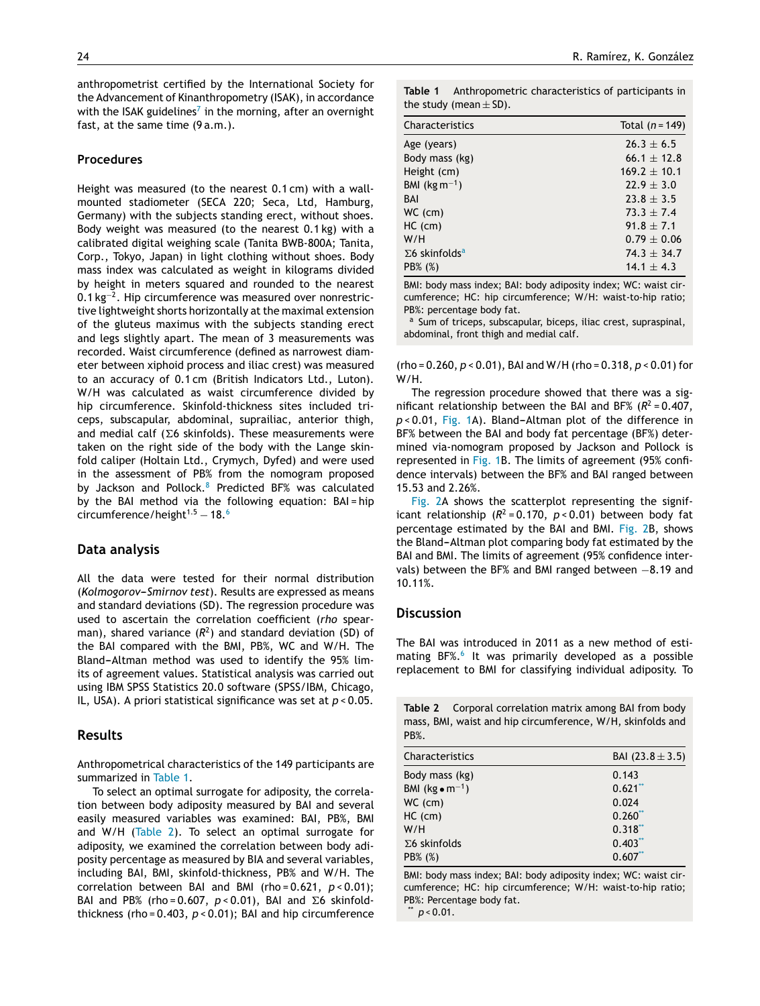anthropometrist certified by the International Society for the Advancement of Kinanthropometry (ISAK), in accordance with the ISAK guidel[in](#page-4-0)es<sup>7</sup> in the morning, after an overnight fast, at the same time (9 a.m.).

#### **Procedures**

Height was measured (to the nearest 0.1 cm) with a wallmounted stadiometer (SECA 220; Seca, Ltd, Hamburg, Germany) with the subjects standing erect, without shoes. Body weight was measured (to the nearest 0.1 kg) with a calibrated digital weighing scale (Tanita BWB-800A; Tanita, Corp., Tokyo, Japan) in light clothing without shoes. Body mass index was calculated as weight in kilograms divided by height in meters squared and rounded to the nearest 0.1 kg<sup>-2</sup>. Hip circumference was measured over nonrestrictive lightweight shorts horizontally at the maximal extension of the gluteus maximus with the subjects standing erect and legs slightly apart. The mean of 3 measurements was recorded. Waist circumference (defined as narrowest diameter between xiphoid process and iliac crest) was measured to an accuracy of 0.1 cm (British Indicators Ltd., Luton). W/H was calculated as waist circumference divided by hip circumference. Skinfold-thickness sites included triceps, subscapular, abdominal, suprailiac, anterior thigh, and medial calf ( $\Sigma$ 6 skinfolds). These measurements were taken on the right side of the body with the Lange skinfold caliper (Holtain Ltd., Crymych, Dyfed) and were used in the assessment of PB% from the nomogram proposed by Jackson and Pollock.<sup>[8](#page-4-0)</sup> Predicted BF% was calculated by the BAI method via the following equation: BAI = hip circumference/height $1.5 - 18.6$  $1.5 - 18.6$ 

#### **Data analysis**

All the data were tested for their normal distribution (Kolmogorov-Smirnov test). Results are expressed as means and standard deviations (SD). The regression procedure was used to ascertain the correlation coefficient (*rho* spearman), shared variance  $(R^2)$  and standard deviation (SD) of the BAI compared with the BMI, PB%, WC and W/H. The Bland-Altman method was used to identify the 95% limits of agreement values. Statistical analysis was carried out using IBM SPSS Statistics 20.0 software (SPSS/IBM, Chicago, IL, USA). A priori statistical significance was set at *p* < 0.05.

#### **Results**

Anthropometrical characteristics of the 149 participants are summarized in Table 1.

To select an optimal surrogate for adiposity, the correlation between body adiposity measured by BAI and several easily measured variables was examined: BAI, PB%, BMI and W/H (Table 2). To select an optimal surrogate for adiposity, we examined the correlation between body adiposity percentage as measured by BIA and several variables, including BAI, BMI, skinfold-thickness, PB% and W/H. The correlation between BAI and BMI (rho = 0.621, *p* < 0.01); BAI and PB% (rho=0.607,  $p < 0.01$ ), BAI and  $\Sigma$ 6 skinfoldthickness (rho = 0.403, *p* < 0.01); BAI and hip circumference

**Table 1** Anthropometric characteristics of participants in the study (mean  $\pm$  SD).

| Characteristics                   | Total $(n = 149)$ |
|-----------------------------------|-------------------|
| Age (years)                       | $26.3 \pm 6.5$    |
| Body mass (kg)                    | $66.1 \pm 12.8$   |
| Height (cm)                       | $169.2 \pm 10.1$  |
| BMI (kg $m^{-1}$ )                | $22.9 \pm 3.0$    |
| BAI                               | $23.8 \pm 3.5$    |
| WC (cm)                           | $73.3 \pm 7.4$    |
| $HC$ (cm)                         | $91.8 \pm 7.1$    |
| W/H                               | $0.79 \pm 0.06$   |
| $\Sigma$ 6 skinfolds <sup>a</sup> | $74.3 \pm 34.7$   |
| PB% (%)                           | $14.1 \pm 4.3$    |

BMI: body mass index; BAI: body adiposity index; WC: waist circumference; HC: hip circumference; W/H: waist-to-hip ratio; PB%: percentage body fat.

a Sum of triceps, subscapular, biceps, iliac crest, supraspinal, abdominal, front thigh and medial calf.

(rho = 0.260, *p* < 0.01), BAI and W/H (rho = 0.318, *p* < 0.01) for W/H.

The regression procedure showed that there was a significant relationship between the BAI and BF%  $(R^2 = 0.407,$ *p* < 0.01, [Fig.](#page-3-0) 1A). Bland-Altman plot of the difference in BF% between the BAI and body fat percentage (BF%) determined via-nomogram proposed by Jackson and Pollock is represented in [Fig.](#page-3-0) 1B. The limits of agreement (95% confidence intervals) between the BF% and BAI ranged between 15.53 and 2.26%.

[Fig.](#page-3-0) 2A shows the scatterplot representing the significant relationship  $(R^2 = 0.170, p < 0.01)$  between body fat percentage estimated by the BAI and BMI. [Fig.](#page-3-0) 2B, shows the Bland-Altman plot comparing body fat estimated by the BAI and BMI. The limits of agreement (95% confidence intervals) between the BF% and BMI ranged between -8.19 and 10.11%.

#### **Discussion**

The BAI was introduced in 2011 as a new method of esti-mating BF%.<sup>[6](#page-4-0)</sup> It was primarily developed as a possible replacement to BMI for classifying individual adiposity. To

**Table 2** Corporal correlation matrix among BAI from body mass, BMI, waist and hip circumference, W/H, skinfolds and PB%.

| Characteristics           | BAI $(23.8 \pm 3.5)$ |
|---------------------------|----------------------|
| Body mass (kg)            | 0.143                |
| BMI $(kg \bullet m^{-1})$ | $0.621$ **           |
| $WC$ (cm)                 | 0.024                |
| HC (cm)                   | 0.260                |
| W/H                       | $0.318$ **           |
| $\Sigma$ 6 skinfolds      | $0.403**$            |
| PB% (%)                   | 0.607                |

BMI: body mass index; BAI: body adiposity index; WC: waist circumference; HC: hip circumference; W/H: waist-to-hip ratio; PB%: Percentage body fat.

 $p$  < 0.01.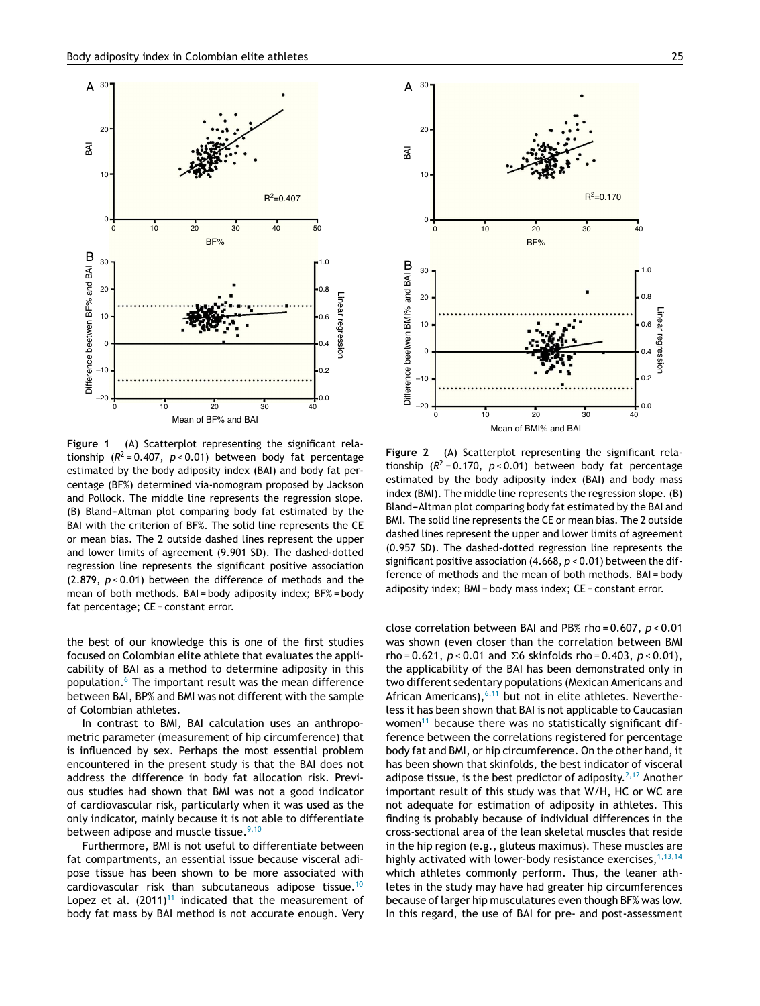<span id="page-3-0"></span>

**Figure 1** (A) Scatterplot representing the significant relationship (*R* <sup>2</sup> = 0.407, *p* < 0.01) between body fat percentage estimated by the body adiposity index (BAI) and body fat percentage (BF%) determined via-nomogram proposed by Jackson and Pollock. The middle line represents the regression slope. (B) Bland-Altman plot comparing body fat estimated by the BAI with the criterion of BF%. The solid line represents the CE or mean bias. The 2 outside dashed lines represent the upper and lower limits of agreement (9.901 SD). The dashed-dotted regression line represents the significant positive association (2.879, *p* < 0.01) between the difference of methods and the mean of both methods. BAI = body adiposity index; BF% = body fat percentage; CE = constant error.

the best of our knowledge this is one of the first studies focused on Colombian elite athlete that evaluates the applicability of BAI as a method to determine adiposity in this population.[6](#page-4-0) The important result was the mean difference between BAI, BP% and BMI was not different with the sample of Colombian athletes.

In contrast to BMI, BAI calculation uses an anthropometric parameter (measurement of hip circumference) that is influenced by sex. Perhaps the most essential problem encountered in the present study is that the BAI does not address the difference in body fat allocation risk. Previous studies had shown that BMI was not a good indicator of cardiovascular risk, particularly when it was used as the only indicator, mainly because it is not able to differentiate between adipose and muscle tissue. $9,10$ 

Furthermore, BMI is not useful to differentiate between fat compartments, an essential issue because visceral adipose tissue has been shown to be more associated with cardiovascular risk than subcutaneous adipose tissue.[10](#page-4-0) Lopez et al.  $(2011)^{11}$  $(2011)^{11}$  $(2011)^{11}$  indicated that the measurement of body fat mass by BAI method is not accurate enough. Very



**Figure 2** (A) Scatterplot representing the significant relationship  $(R^2 = 0.170, p < 0.01)$  between body fat percentage estimated by the body adiposity index (BAI) and body mass index (BMI). The middle line represents the regression slope. (B) Bland-Altman plot comparing body fat estimated by the BAI and BMI. The solid line represents the CE or mean bias. The 2 outside dashed lines represent the upper and lower limits of agreement (0.957 SD). The dashed-dotted regression line represents the significant positive association (4.668, *p* < 0.01) between the difference of methods and the mean of both methods. BAI = body adiposity index; BMI = body mass index; CE = constant error.

close correlation between BAI and PB% rho = 0.607, *p* < 0.01 was shown (even closer than the correlation between BMI  $rho = 0.621$ ,  $p < 0.01$  and  $\Sigma 6$  skinfolds rho = 0.403,  $p < 0.01$ ), the applicability of the BAI has been demonstrated only in two different sedentary populations (Mexican Americans and African Americans),  $6,11$  but not in elite athletes. Nevertheless it has been shown that BAI is not applicable to Caucasian women $11$  because there was no statistically significant difference between the correlations registered for percentage body fat and BMI, or hip circumference. On the other hand, it has been shown that skinfolds, the best indicator of visceral adipose tissue, is the best predictor of adiposity.<sup>[2,12](#page-4-0)</sup> Another important result of this study was that W/H, HC or WC are not adequate for estimation of adiposity in athletes. This finding is probably because of individual differences in the cross-sectional area of the lean skeletal muscles that reside in the hip region (e.g., gluteus maximus). These muscles are highly activated with lower-body resistance exercises,  $1,13,14$ which athletes commonly perform. Thus, the leaner athletes in the study may have had greater hip circumferences because of larger hip musculatures even though BF% was low. In this regard, the use of BAI for pre- and post-assessment